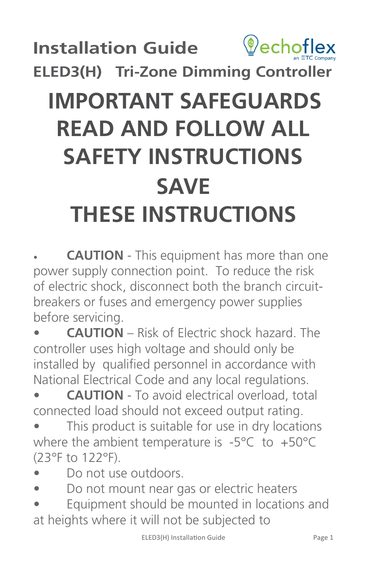

• **CAUTION** - This equipment has more than one power supply connection point. To reduce the risk of electric shock, disconnect both the branch circuitbreakers or fuses and emergency power supplies before servicing.

• **CAUTION** – Risk of Electric shock hazard. The controller uses high voltage and should only be installed by qualified personnel in accordance with National Electrical Code and any local regulations.

**CAUTION** - To avoid electrical overload, total connected load should not exceed output rating.

This product is suitable for use in dry locations where the ambient temperature is -5°C to +50°C (23°F to 122°F).

- Do not use outdoors.
- Do not mount near gas or electric heaters
- Equipment should be mounted in locations and at heights where it will not be subjected to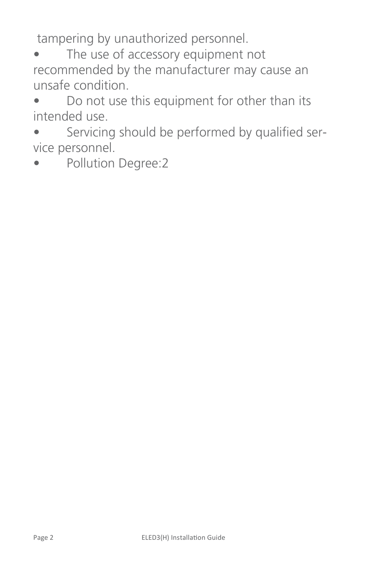tampering by unauthorized personnel.

The use of accessory equipment not recommended by the manufacturer may cause an unsafe condition.

• Do not use this equipment for other than its intended use.

• Servicing should be performed by qualified service personnel.

• Pollution Degree:2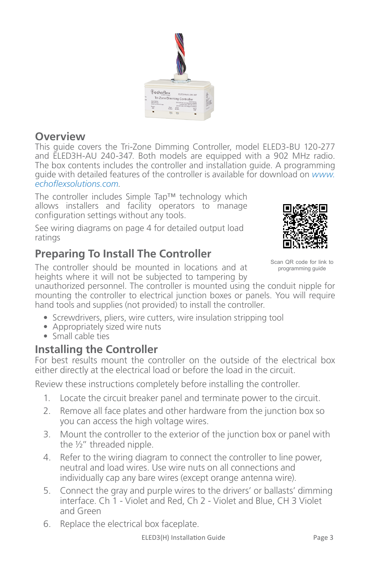Scan QR code for link to programming guide

heights where it will not be subjected to tampering by unauthorized personnel. The controller is mounted using the conduit nipple for mounting the controller to electrical junction boxes or panels. You will require hand tools and supplies (not provided) to install the controller.

• Screwdrivers, pliers, wire cutters, wire insulation stripping tool

The controller includes Simple Tap™ technology which allows installers and facility operators to manage

See wiring diagrams on page 4 for detailed output load

The controller should be mounted in locations and at

• Appropriately sized wire nuts

configuration settings without any tools.

**Preparing To Install The Controller**

• Small cable ties

**Overview**

ratings

*[echoflexsolutions.com](http://www.echoflexsolutions.com).*

# **Installing the Controller**

For best results mount the controller on the outside of the electrical box either directly at the electrical load or before the load in the circuit.

Review these instructions completely before installing the controller.

- 1. Locate the circuit breaker panel and terminate power to the circuit.
- 2. Remove all face plates and other hardware from the junction box so you can access the high voltage wires.
- 3. Mount the controller to the exterior of the junction box or panel with the ½" threaded nipple.
- 4. Refer to the wiring diagram to connect the controller to line power, neutral and load wires. Use wire nuts on all connections and individually cap any bare wires (except orange antenna wire).
- 5. Connect the gray and purple wires to the drivers' or ballasts' dimming interface. Ch 1 - Violet and Red, Ch 2 - Violet and Blue, CH 3 Violet and Green
- 6. Replace the electrical box faceplate.





This guide covers the Tri-Zone Dimming Controller, model ELED3-BU 120-277 and ELED3H-AU 240-347. Both models are equipped with a 902 MHz radio. The box contents includes the controller and installation guide. A programming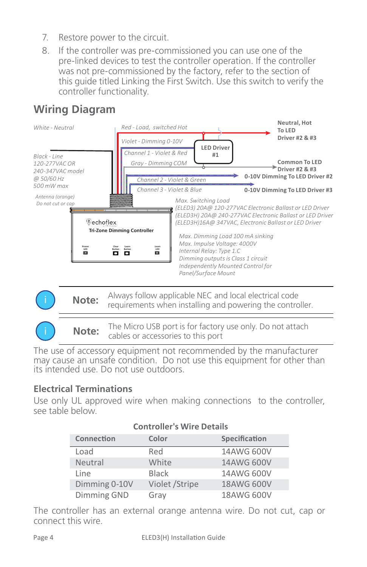- 7. Restore power to the circuit.
- 8. If the controller was pre-commissioned you can use one of the pre-linked devices to test the controller operation. If the controller was not pre-commissioned by the factory, refer to the section of this guide titled Linking the First Switch. Use this switch to verify the controller functionality.

# **Wiring Diagram**



Note: Always follow applicable NEC and local electrical code requirements when installing and powering the controller.

**Note:** The Micro USB port is for factory use only. Do not attach cables or accessories to this port

The use of accessory equipment not recommended by the manufacturer may cause an unsafe condition. Do not use this equipment for other than its intended use. Do not use outdoors.

#### **Electrical Terminations**

Use only UL approved wire when making connections to the controller, see table below.

| <b>Controller's Wire Details</b> |                 |               |  |  |  |  |
|----------------------------------|-----------------|---------------|--|--|--|--|
| Connection                       | Color           | Specification |  |  |  |  |
| Load                             | Red             | 14AWG 600V    |  |  |  |  |
| Neutral                          | White           | 14AWG 600V    |  |  |  |  |
| Line                             | <b>Black</b>    | 14AWG 600V    |  |  |  |  |
| Dimming 0-10V                    | Violet / Stripe | 18AWG 600V    |  |  |  |  |
| Dimming GND                      | Gray            | 18AWG 600V    |  |  |  |  |

The controller has an external orange antenna wire. Do not cut, cap or connect this wire.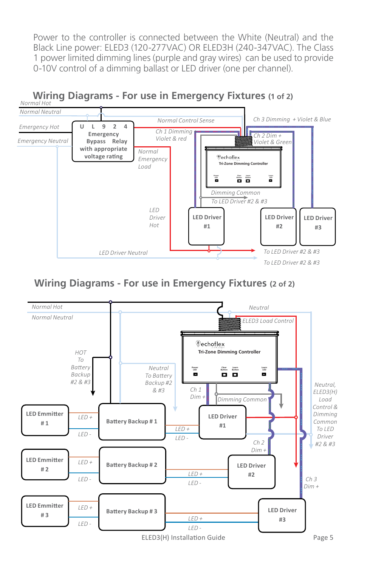Power to the controller is connected between the White (Neutral) and the Black Line power: ELED3 (120-277VAC) OR ELED3H (240-347VAC). The Class 1 power limited dimming lines (purple and gray wires) can be used to provide 0-10V control of a dimming ballast or LED driver (one per channel).



#### **Wiring Diagrams - For use in Emergency Fixtures (2 of 2)**

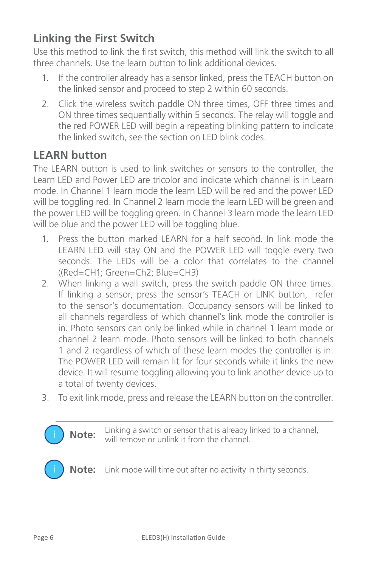# **Linking the First Switch**

Use this method to link the first switch, this method will link the switch to all three channels. Use the learn button to link additional devices.

- 1. If the controller already has a sensor linked, press the TEACH button on the linked sensor and proceed to step 2 within 60 seconds.
- 2. Click the wireless switch paddle ON three times, OFF three times and ON three times sequentially within 5 seconds. The relay will toggle and the red POWER LED will begin a repeating blinking pattern to indicate the linked switch, see the section on LED blink codes.

## **LEARN button**

The LEARN button is used to link switches or sensors to the controller, the Learn LED and Power LED are tricolor and indicate which channel is in Learn mode. In Channel 1 learn mode the learn LED will be red and the power LED will be toggling red. In Channel 2 learn mode the learn LED will be green and the power LED will be toggling green. In Channel 3 learn mode the learn LED will be blue and the power LED will be toggling blue.

- 1. Press the button marked LEARN for a half second. In link mode the LEARN LED will stay ON and the POWER LED will toggle every two seconds. The LEDs will be a color that correlates to the channel ((Red=CH1; Green=Ch2; Blue=CH3)
- 2. When linking a wall switch, press the switch paddle ON three times. If linking a sensor, press the sensor's TEACH or LINK button, refer to the sensor's documentation. Occupancy sensors will be linked to all channels regardless of which channel's link mode the controller is in. Photo sensors can only be linked while in channel 1 learn mode or channel 2 learn mode. Photo sensors will be linked to both channels 1 and 2 regardless of which of these learn modes the controller is in. The POWER LED will remain lit for four seconds while it links the new device. It will resume toggling allowing you to link another device up to a total of twenty devices.
- 3. To exit link mode, press and release the LEARN button on the controller.

**Note:** Linking a switch or sensor that is already linked to a channel, will remove or unlink it from the channel.

**Note:** Link mode will time out after no activity in thirty seconds.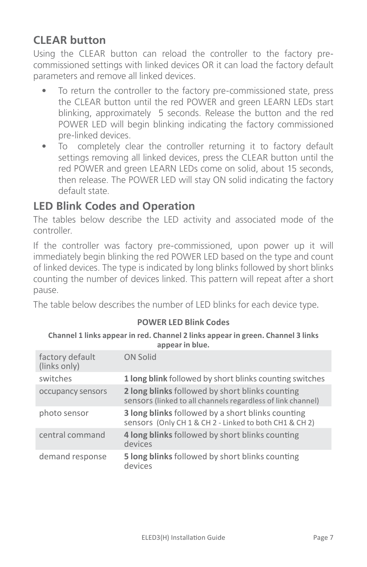# **CLEAR button**

Using the CLEAR button can reload the controller to the factory precommissioned settings with linked devices OR it can load the factory default parameters and remove all linked devices.

- To return the controller to the factory pre-commissioned state, press the CLEAR button until the red POWER and green LEARN LEDs start blinking, approximately 5 seconds. Release the button and the red POWER LED will begin blinking indicating the factory commissioned pre-linked devices.
- To completely clear the controller returning it to factory default settings removing all linked devices, press the CLEAR button until the red POWER and green LEARN LEDs come on solid, about 15 seconds, then release. The POWER LED will stay ON solid indicating the factory default state.

## **LED Blink Codes and Operation**

The tables below describe the LED activity and associated mode of the controller.

If the controller was factory pre-commissioned, upon power up it will immediately begin blinking the red POWER LED based on the type and count of linked devices. The type is indicated by long blinks followed by short blinks counting the number of devices linked. This pattern will repeat after a short pause.

The table below describes the number of LED blinks for each device type.

| appear in blue.                 |                                                                                                                    |  |  |  |
|---------------------------------|--------------------------------------------------------------------------------------------------------------------|--|--|--|
| factory default<br>(links only) | ON Solid                                                                                                           |  |  |  |
| switches                        | 1 long blink followed by short blinks counting switches                                                            |  |  |  |
| occupancy sensors               | 2 long blinks followed by short blinks counting<br>sensors (linked to all channels regardless of link channel)     |  |  |  |
| photo sensor                    | <b>3 long blinks</b> followed by a short blinks counting<br>sensors (Only CH 1 & CH 2 - Linked to both CH1 & CH 2) |  |  |  |
| central command                 | 4 long blinks followed by short blinks counting<br>devices                                                         |  |  |  |
| demand response                 | 5 long blinks followed by short blinks counting<br>devices                                                         |  |  |  |

#### **POWER LED Blink Codes**

**Channel 1 links appear in red. Channel 2 links appear in green. Channel 3 links**